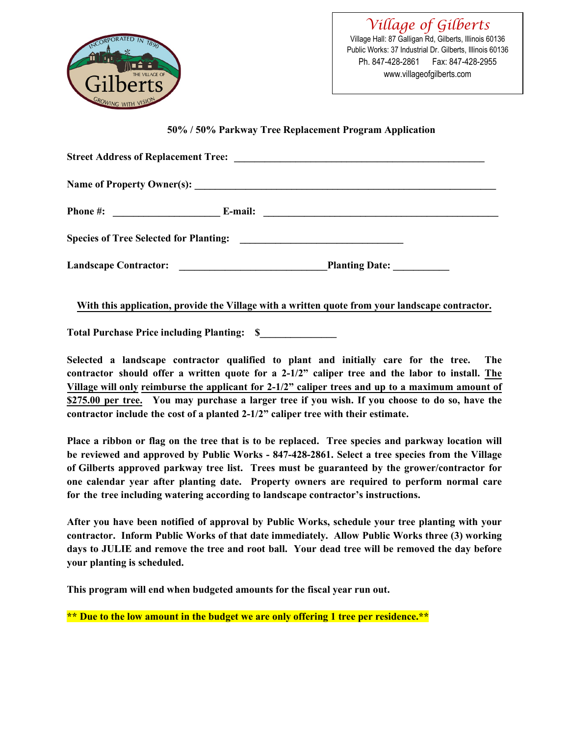

*Village of Gilberts* Village Hall: 87 Galligan Rd, Gilberts, Illinois 60136 Public Works: 37 Industrial Dr. Gilberts, Illinois 60136 Ph. 847-428-2861 Fax: 847-428-2955 www.villageofgilberts.com

**50% / 50% Parkway Tree Replacement Program Application** 

| Phone #: $\qquad \qquad$ E-mail: |                       |
|----------------------------------|-----------------------|
|                                  |                       |
| <b>Landscape Contractor:</b>     | <b>Planting Date:</b> |

**With this application, provide the Village with a written quote from your landscape contractor.**

**Total Purchase Price including Planting: \$\_\_\_\_\_\_\_\_\_\_\_\_\_\_\_** 

**Selected a landscape contractor qualified to plant and initially care for the tree. The contractor should offer a written quote for a 2-1/2" caliper tree and the labor to install. The Village will only reimburse the applicant for 2-1/2" caliper trees and up to a maximum amount of \$275.00 per tree. You may purchase a larger tree if you wish. If you choose to do so, have the contractor include the cost of a planted 2-1/2" caliper tree with their estimate.** 

**Place a ribbon or flag on the tree that is to be replaced. Tree species and parkway location will be reviewed and approved by Public Works - 847-428-2861. Select a tree species from the Village of Gilberts approved parkway tree list. Trees must be guaranteed by the grower/contractor for one calendar year after planting date. Property owners are required to perform normal care for the tree including watering according to landscape contractor's instructions.** 

**After you have been notified of approval by Public Works, schedule your tree planting with your contractor. Inform Public Works of that date immediately. Allow Public Works three (3) working days to JULIE and remove the tree and root ball. Your dead tree will be removed the day before your planting is scheduled.**

**This program will end when budgeted amounts for the fiscal year run out.**

**\*\* Due to the low amount in the budget we are only offering 1 tree per residence.\*\***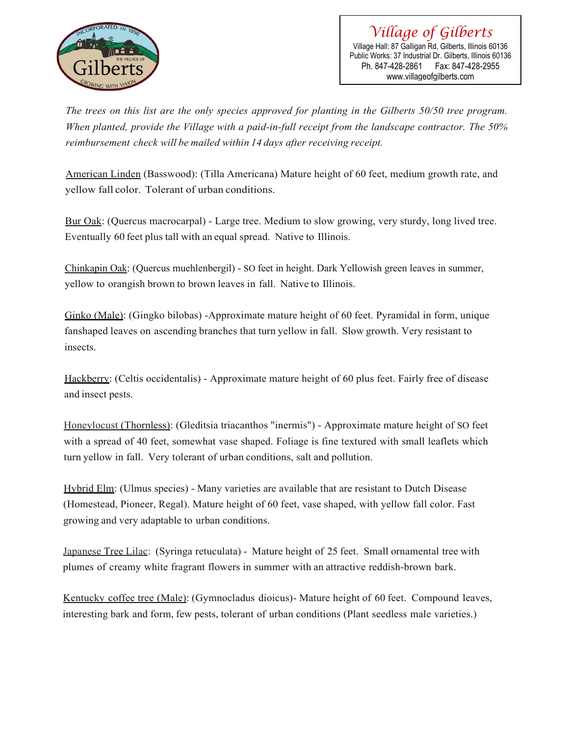

*Village of Gilberts* Village Hall: 87 Galligan Rd, Gilberts, Illinois 60136 Public Works: 37 Industrial Dr. Gilberts, Illinois 60136 Ph. 847-428-2861 Fax: 847-428-2955 www.villageofgilberts.com

*The trees on this list are the only species approved for planting in the Gilberts 50/50 tree program. When planted, provide the Village with a paid-in-full receipt from the landscape contractor. The 50% reimbursement check will be mailed within 14 days after receiving receipt.*

American Linden (Basswood): (Tilla Americana) Mature height of 60 feet, medium growth rate, and yellow fall color. Tolerant of urban conditions.

Bur Oak: (Quercus macrocarpal) - Large tree. Medium to slow growing, very sturdy, long lived tree. Eventually 60 feet plus tall with an equal spread. Native to Illinois.

Chinkapin Oak: (Quercus muehlenbergil) - SO feet in height. Dark Yellowish green leaves in summer, yellow to orangish brown to brown leaves in fall. Native to Illinois.

Ginko (Male): (Gingko bilobas) -Approximate mature height of 60 feet. Pyramidal in form, unique fanshaped leaves on ascending branches that turn yellow in fall. Slow growth. Very resistant to insects.

Hackberry: (Celtis occidentalis) - Approximate mature height of 60 plus feet. Fairly free of disease and insect pests.

Honeylocust (Thornless): (Gleditsia triacanthos "inermis") - Approximate mature height of SO feet with a spread of 40 feet, somewhat vase shaped. Foliage is fine textured with small leaflets which turn yellow in fall. Very tolerant of urban conditions, salt and pollution.

Hybrid Elm: (Ulmus species) - Many varieties are available that are resistant to Dutch Disease (Homestead, Pioneer, Regal). Mature height of 60 feet, vase shaped, with yellow fall color. Fast growing and very adaptable to urban conditions.

Japanese Tree Lilac: (Syringa retuculata) - Mature height of 25 feet. Small ornamental tree with plumes of creamy white fragrant flowers in summer with an attractive reddish-brown bark.

Kentucky coffee tree (Male): (Gymnocladus dioicus)- Mature height of 60 feet. Compound leaves, interesting bark and form, few pests, tolerant of urban conditions (Plant seedless male varieties.)